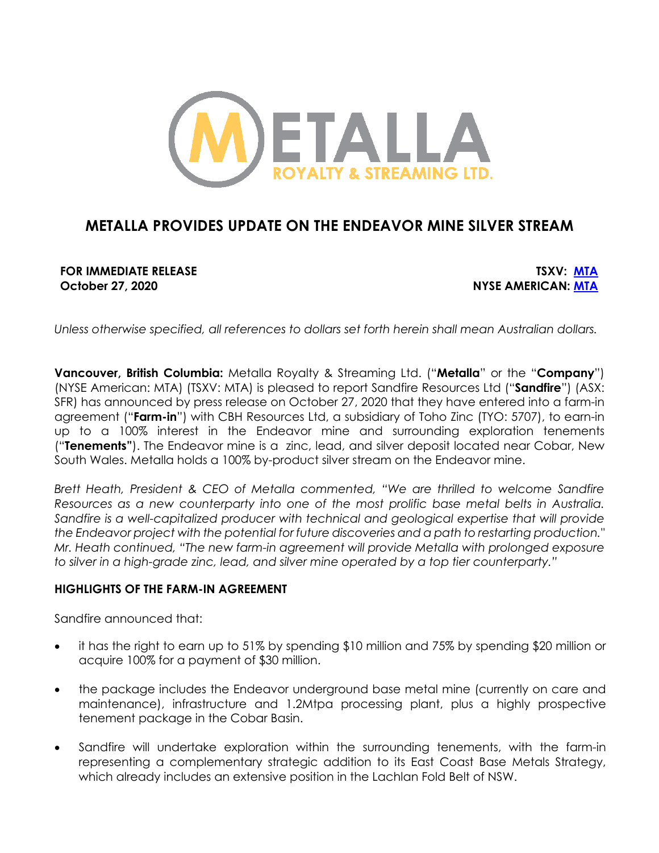

# **METALLA PROVIDES UPDATE ON THE ENDEAVOR MINE SILVER STREAM**

**FOR IMMEDIATE RELEASE TSXV: MTA October 27, 2020 NYSE AMERICAN: MTA**

*Unless otherwise specified, all references to dollars set forth herein shall mean Australian dollars.*

**Vancouver, British Columbia:** Metalla Royalty & Streaming Ltd. ("**Metalla**" or the "**Company**") (NYSE American: MTA) (TSXV: MTA) is pleased to report Sandfire Resources Ltd ("**Sandfire**") (ASX: SFR) has announced by press release on October 27, 2020 that they have entered into a farm-in agreement ("**Farm-in**") with CBH Resources Ltd, a subsidiary of Toho Zinc (TYO: 5707), to earn-in up to a 100% interest in the Endeavor mine and surrounding exploration tenements ("**Tenements"**). The Endeavor mine is a zinc, lead, and silver deposit located near Cobar, New South Wales. Metalla holds a 100% by-product silver stream on the Endeavor mine.

*Brett Heath, President & CEO of Metalla commented, "We are thrilled to welcome Sandfire Resources as a new counterparty into one of the most prolific base metal belts in Australia. Sandfire is a well-capitalized producer with technical and geological expertise that will provide the Endeavor project with the potential for future discoveries and a path to restarting production." Mr. Heath continued, "The new farm-in agreement will provide Metalla with prolonged exposure to silver in a high-grade zinc, lead, and silver mine operated by a top tier counterparty."*

## **HIGHLIGHTS OF THE FARM-IN AGREEMENT**

Sandfire announced that:

- it has the right to earn up to 51% by spending \$10 million and 75% by spending \$20 million or acquire 100% for a payment of \$30 million.
- the package includes the Endeavor underground base metal mine (currently on care and maintenance), infrastructure and 1.2Mtpa processing plant, plus a highly prospective tenement package in the Cobar Basin.
- Sandfire will undertake exploration within the surrounding tenements, with the farm-in representing a complementary strategic addition to its East Coast Base Metals Strategy, which already includes an extensive position in the Lachlan Fold Belt of NSW.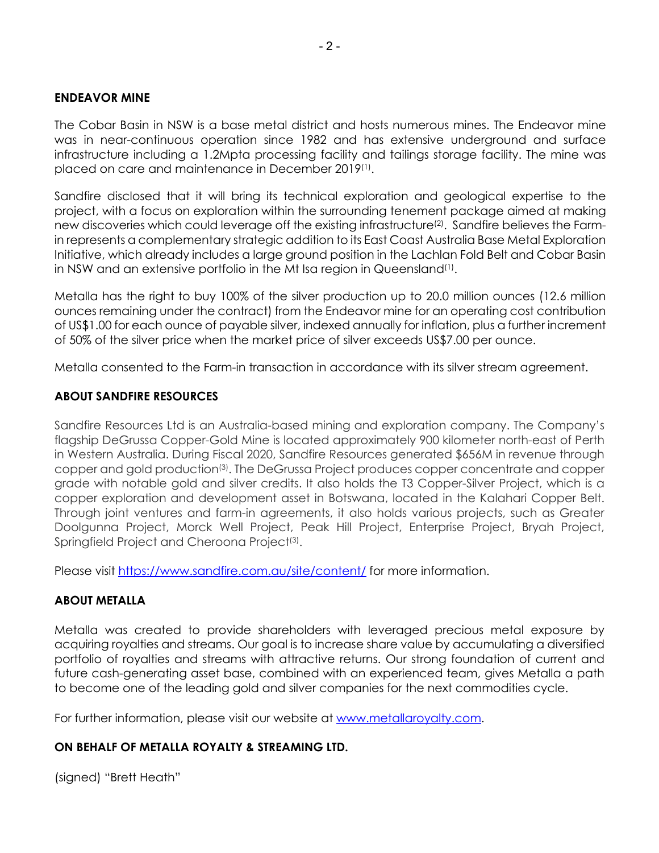# **ENDEAVOR MINE**

The Cobar Basin in NSW is a base metal district and hosts numerous mines. The Endeavor mine was in near-continuous operation since 1982 and has extensive underground and surface infrastructure including a 1.2Mpta processing facility and tailings storage facility. The mine was placed on care and maintenance in December 2019(1).

Sandfire disclosed that it will bring its technical exploration and geological expertise to the project, with a focus on exploration within the surrounding tenement package aimed at making new discoveries which could leverage off the existing infrastructure<sup>(2)</sup>. Sandfire believes the Farmin represents a complementary strategic addition to its East Coast Australia Base Metal Exploration Initiative, which already includes a large ground position in the Lachlan Fold Belt and Cobar Basin in NSW and an extensive portfolio in the Mt Isa region in Queensland(1).

Metalla has the right to buy 100% of the silver production up to 20.0 million ounces (12.6 million ounces remaining under the contract) from the Endeavor mine for an operating cost contribution of US\$1.00 for each ounce of payable silver, indexed annually for inflation, plus a further increment of 50% of the silver price when the market price of silver exceeds US\$7.00 per ounce.

Metalla consented to the Farm-in transaction in accordance with its silver stream agreement.

# **ABOUT SANDFIRE RESOURCES**

Sandfire Resources Ltd is an Australia-based mining and exploration company. The Company's flagship DeGrussa Copper-Gold Mine is located approximately 900 kilometer north-east of Perth in Western Australia. During Fiscal 2020, Sandfire Resources generated \$656M in revenue through copper and gold production(3). The DeGrussa Project produces copper concentrate and copper grade with notable gold and silver credits. It also holds the T3 Copper-Silver Project, which is a copper exploration and development asset in Botswana, located in the Kalahari Copper Belt. Through joint ventures and farm-in agreements, it also holds various projects, such as Greater Doolgunna Project, Morck Well Project, Peak Hill Project, Enterprise Project, Bryah Project, Springfield Project and Cheroona Project<sup>(3)</sup>.

Please visit https://www.sandfire.com.au/site/content/ for more information.

# **ABOUT METALLA**

Metalla was created to provide shareholders with leveraged precious metal exposure by acquiring royalties and streams. Our goal is to increase share value by accumulating a diversified portfolio of royalties and streams with attractive returns. Our strong foundation of current and future cash-generating asset base, combined with an experienced team, gives Metalla a path to become one of the leading gold and silver companies for the next commodities cycle.

For further information, please visit our website at www.metallaroyalty.com.

# **ON BEHALF OF METALLA ROYALTY & STREAMING LTD.**

(signed) "Brett Heath"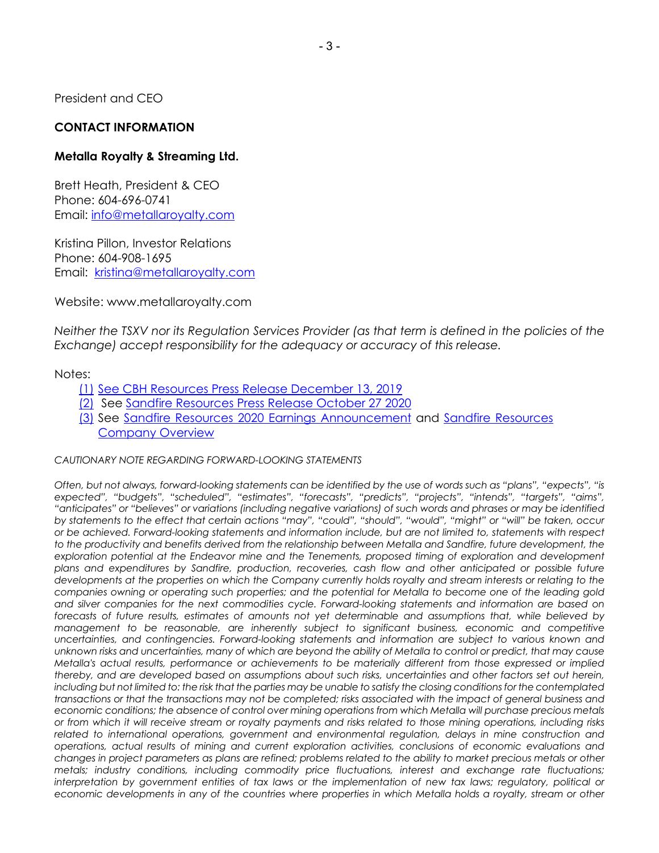President and CEO

# **CONTACT INFORMATION**

## **Metalla Royalty & Streaming Ltd.**

Brett Heath, President & CEO Phone: 604-696-0741 Email: info@metallaroyalty.com

Kristina Pillon, Investor Relations Phone: 604-908-1695 Email: kristina@metallaroyalty.com

Website: www.metallaroyalty.com

*Neither the TSXV nor its Regulation Services Provider (as that term is defined in the policies of the Exchange) accept responsibility for the adequacy or accuracy of this release.* 

#### Notes:

- (1) See CBH Resources Press Release December 13, 2019
- (2) See Sandfire Resources Press Release October 27 2020
- (3) See Sandfire Resources 2020 Earnings Announcement and Sandfire Resources Company Overview

#### *CAUTIONARY NOTE REGARDING FORWARD-LOOKING STATEMENTS*

*Often, but not always, forward-looking statements can be identified by the use of words such as "plans", "expects", "is expected", "budgets", "scheduled", "estimates", "forecasts", "predicts", "projects", "intends", "targets", "aims", "anticipates" or "believes" or variations (including negative variations) of such words and phrases or may be identified by statements to the effect that certain actions "may", "could", "should", "would", "might" or "will" be taken, occur or be achieved. Forward-looking statements and information include, but are not limited to, statements with respect to the productivity and benefits derived from the relationship between Metalla and Sandfire, future development, the exploration potential at the Endeavor mine and the Tenements, proposed timing of exploration and development plans and expenditures by Sandfire, production, recoveries, cash flow and other anticipated or possible future developments at the properties on which the Company currently holds royalty and stream interests or relating to the companies owning or operating such properties; and the potential for Metalla to become one of the leading gold and silver companies for the next commodities cycle. Forward-looking statements and information are based on forecasts of future results, estimates of amounts not yet determinable and assumptions that, while believed by management to be reasonable, are inherently subject to significant business, economic and competitive uncertainties, and contingencies. Forward-looking statements and information are subject to various known and unknown risks and uncertainties, many of which are beyond the ability of Metalla to control or predict, that may cause Metalla's actual results, performance or achievements to be materially different from those expressed or implied thereby, and are developed based on assumptions about such risks, uncertainties and other factors set out herein, including but not limited to: the risk that the parties may be unable to satisfy the closing conditions for the contemplated transactions or that the transactions may not be completed; risks associated with the impact of general business and economic conditions; the absence of control over mining operations from which Metalla will purchase precious metals or from which it will receive stream or royalty payments and risks related to those mining operations, including risks*  related to international operations, government and environmental regulation, delays in mine construction and *operations, actual results of mining and current exploration activities, conclusions of economic evaluations and changes in project parameters as plans are refined; problems related to the ability to market precious metals or other metals; industry conditions, including commodity price fluctuations, interest and exchange rate fluctuations; interpretation by government entities of tax laws or the implementation of new tax laws; regulatory, political or economic developments in any of the countries where properties in which Metalla holds a royalty, stream or other*